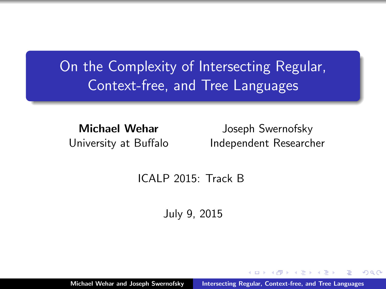# <span id="page-0-0"></span>On the Complexity of Intersecting Regular, Context-free, and Tree Languages

Michael Wehar University at Buffalo

Joseph Swernofsky Independent Researcher

 $\Omega$ 

ICALP 2015: Track B

July 9, 2015

Michael Wehar and Joseph Swernofsky [Intersecting Regular, Context-free, and Tree Languages](#page-17-0)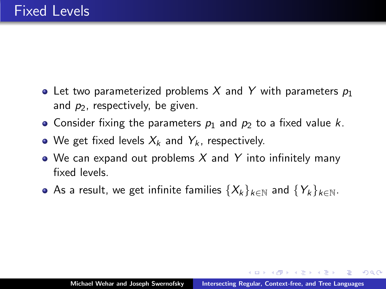- Let two parameterized problems X and Y with parameters  $p_1$ and  $p_2$ , respectively, be given.
- Consider fixing the parameters  $p_1$  and  $p_2$  to a fixed value k.
- We get fixed levels  $X_k$  and  $Y_k$ , respectively.
- We can expand out problems X and Y into infinitely many fixed levels.
- As a result, we get infinite families  $\{X_k\}_{k\in\mathbb{N}}$  and  $\{Y_k\}_{k\in\mathbb{N}}$ .

 $\Omega$ 

- オーロー オーエー・オーエー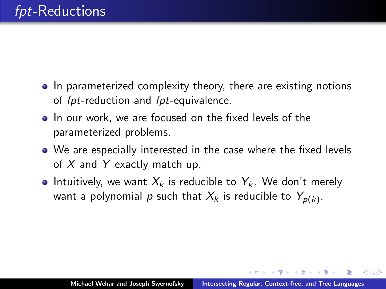- In parameterized complexity theory, there are existing notions of fpt-reduction and fpt-equivalence.
- In our work, we are focused on the fixed levels of the parameterized problems.
- We are especially interested in the case where the fixed levels of  $X$  and  $Y$  exactly match up.
- Intuitively, we want  $X_k$  is reducible to  $Y_k$ . We don't merely want a polynomial  $\rho$  such that  $X_k$  is reducible to  $Y_{\rho(k)}.$

 $\Omega$ 

マタンマチャマチャ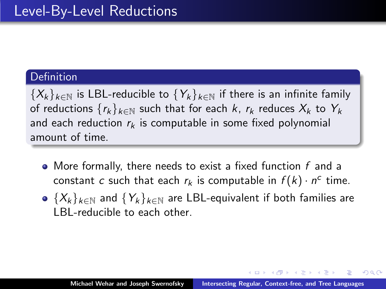# Definition

 ${X_k}_{k\in\mathbb{N}}$  is LBL-reducible to  ${Y_k}_{k\in\mathbb{N}}$  if there is an infinite family of reductions  $\{r_k\}_{k\in\mathbb{N}}$  such that for each k,  $r_k$  reduces  $X_k$  to  $Y_k$ and each reduction  $r_k$  is computable in some fixed polynomial amount of time.

- $\bullet$  More formally, there needs to exist a fixed function  $f$  and a constant c such that each  $r_k$  is computable in  $f(k) \cdot n^c$  time.
- $\bullet$   $\{X_k\}_{k\in\mathbb{N}}$  and  $\{Y_k\}_{k\in\mathbb{N}}$  are LBL-equivalent if both families are LBL-reducible to each other.

- 4 桐 ト 4 戸 ト 4 戸 ト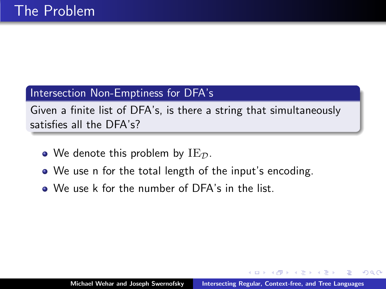# Intersection Non-Emptiness for DFA's

Given a finite list of DFA's, is there a string that simultaneously satisfies all the DFA's?

- We denote this problem by  $IE_{\mathcal{D}}$ .
- We use n for the total length of the input's encoding.
- We use k for the number of DFA's in the list.

4 A 6 4 F 6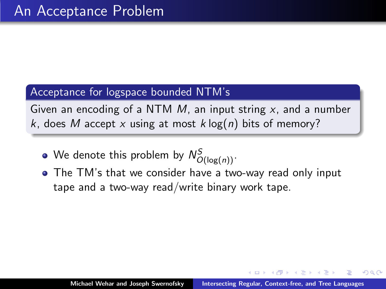#### Acceptance for logspace bounded NTM's

Given an encoding of a NTM  $M$ , an input string  $x$ , and a number k, does M accept x using at most k  $log(n)$  bits of memory?

- We denote this problem by  $\mathcal{N}^S_{O(\log(n))}.$
- The TM's that we consider have a two-way read only input tape and a two-way read/write binary work tape.

4 A 6 4 F 6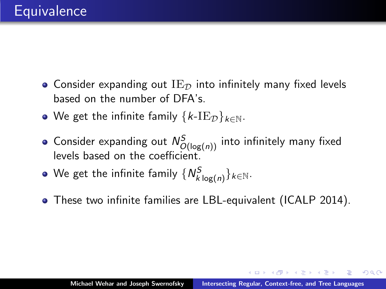- Consider expanding out  $IE_{\mathcal{D}}$  into infinitely many fixed levels based on the number of DFA's.
- We get the infinite family  $\{k\text{-IE}_\mathcal{D}\}_{k\in\mathbb{N}}$ .
- Consider expanding out  $\mathcal{N}^{S}_{O(\log(n))}$  into infinitely many fixed levels based on the coefficient.
- We get the infinite family  $\{N_{k\log(n)}^S\}_{k\in\mathbb{N}}.$
- These two infinite families are LBL-equivalent (ICALP 2014).

イロメ イ母 トラ ミッション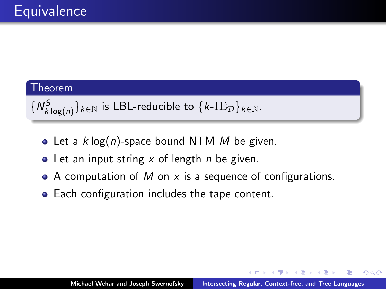### Theorem

```
\{N_{k\log(n)}^S\}_{k\in\mathbb{N}} is LBL-reducible to \{k\text{-IE}_\mathcal{D}\}_{k\in\mathbb{N}}.
```
- Let a  $k \log(n)$ -space bound NTM M be given.
- Let an input string  $x$  of length *n* be given.
- A computation of M on x is a sequence of configurations.
- Each configuration includes the tape content.

→ 伊 → → ミ →

 $2Q$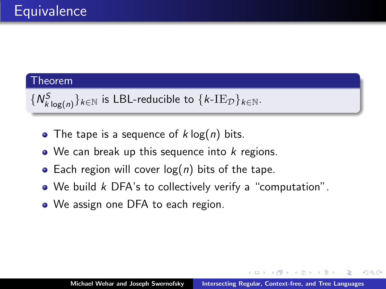# Theorem

 $\{N_{k\log(n)}^S\}_{k\in\mathbb{N}}$  is LBL-reducible to  $\{k\text{-IE}_\mathcal{D}\}_{k\in\mathbb{N}}.$ 

- The tape is a sequence of  $k \log(n)$  bits.
- $\bullet$  We can break up this sequence into k regions.
- Each region will cover  $log(n)$  bits of the tape.
- We build k DFA's to collectively verify a "computation".
- We assign one DFA to each region.

 $\mathcal{A}$   $\mathcal{F}$   $\mathcal{F}$   $\mathcal{A}$   $\mathcal{F}$   $\mathcal{F}$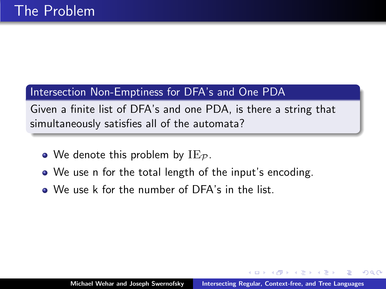# Intersection Non-Emptiness for DFA's and One PDA

Given a finite list of DFA's and one PDA, is there a string that simultaneously satisfies all of the automata?

- We denote this problem by  $IE_{\mathcal{P}}$ .
- We use n for the total length of the input's encoding.
- We use k for the number of DFA's in the list.

4 A 6 4 F 6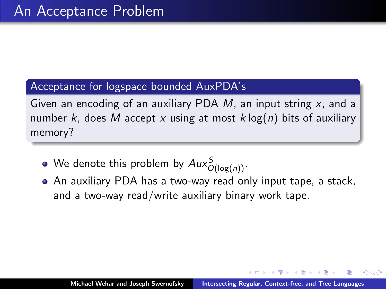### Acceptance for logspace bounded AuxPDA's

Given an encoding of an auxiliary PDA  $M$ , an input string  $x$ , and a number k, does M accept x using at most  $k \log(n)$  bits of auxiliary memory?

- We denote this problem by  $\textit{Aux}_{O(\log(n))}^S.$
- An auxiliary PDA has a two-way read only input tape, a stack, and a two-way read/write auxiliary binary work tape.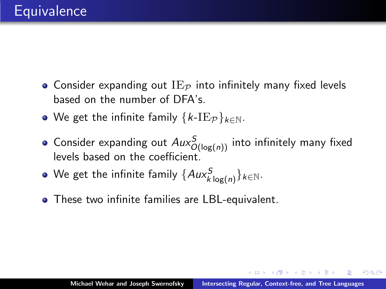- $\bullet$  Consider expanding out  $\mathrm{IE}_\mathcal{P}$  into infinitely many fixed levels based on the number of DFA's.
- We get the infinite family  $\{k-IE_{\mathcal{P}}\}_{k\in\mathbb{N}}$ .
- Consider expanding out  $Aux_{O(\log(n))}^S$  into infinitely many fixed levels based on the coefficient.
- We get the infinite family  $\{Aux_{k\log(n)}^S\}_{k\in\mathbb{N}}.$
- These two infinite families are LBL-equivalent.

マーター マンドマン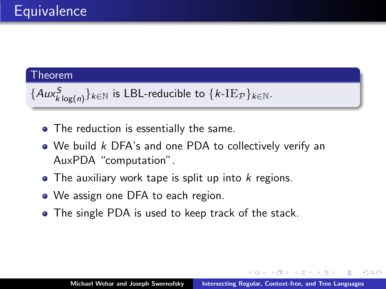#### Theorem

```
\{Aux_{k\log(n)}^S\}_{k\in\mathbb{N}} is LBL-reducible to \{k\text{-IE}_\mathcal{P}\}_{k\in\mathbb{N}}.
```
- The reduction is essentially the same.
- We build k DFA's and one PDA to collectively verify an AuxPDA "computation".
- $\bullet$  The auxiliary work tape is split up into k regions.
- We assign one DFA to each region.
- The single PDA is used to keep track of the stack.

**Administration** 

 $2Q$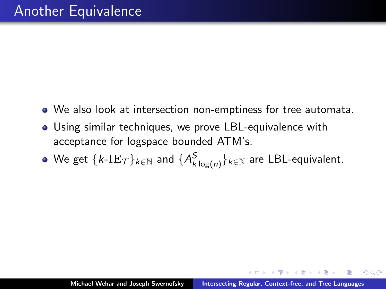- We also look at intersection non-emptiness for tree automata.
- Using similar techniques, we prove LBL-equivalence with acceptance for logspace bounded ATM's.
- We get  $\{k\text{-IE}_\mathcal{T}\}_{k\in\mathbb{N}}$  and  $\{A^{\mathcal{S}}_{k\log(n)}\}_{k\in\mathbb{N}}$  are <code>LBL-equivalent</code>.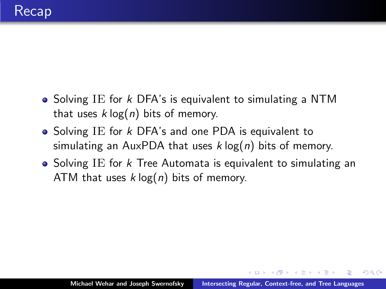- Solving IE for  $k$  DFA's is equivalent to simulating a NTM that uses  $k \log(n)$  bits of memory.
- Solving IE for  $k$  DFA's and one PDA is equivalent to simulating an AuxPDA that uses  $k \log(n)$  bits of memory.
- Solving IE for  $k$  Tree Automata is equivalent to simulating an ATM that uses  $k \log(n)$  bits of memory.

- 4 桐 ト 4 戸 ト 4 戸 ト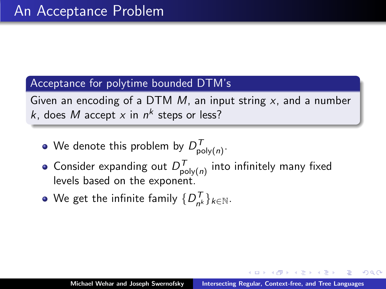### Acceptance for polytime bounded DTM's

Given an encoding of a DTM  $M$ , an input string  $x$ , and a number k, does M accept x in  $n^k$  steps or less?

- We denote this problem by  $D_{\mathsf{poly}(n)}^{\mathcal{T}}$ .
- Consider expanding out  $D^{\mathcal{T}}_{\mathsf{poly}(n)}$  into infinitely many fixed levels based on the exponent.
- We get the infinite family  $\{D_{n^{\prime}}^{\mathcal{T}}$  $\binom{I}{n^k} k \in \mathbb{N}$ .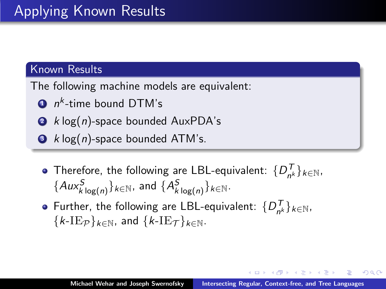# Known Results

The following machine models are equivalent:

- $\mathbf{D}$   $n^k$ -time bound DTM's
- $\bullet$  k log(*n*)-space bounded AuxPDA's
- $\bullet$  k log(n)-space bounded ATM's.
	- Therefore, the following are LBL-equivalent:  $\{D_{n'}^T\}$  $\binom{I}{n^k} k \in \mathbb{N}$ ,  $\{Aux_{k\log(n)}^{S}\}_{k\in\mathbb{N}}$ , and  $\{A_{k\log(n)}^{S}\}_{k\in\mathbb{N}}$ .
	- Further, the following are LBL-equivalent:  $\{D_{n}^{T}$  $\binom{I}{n^k} k \in \mathbb{N}$ ,  $\{k-IE_{\mathcal{P}}\}_{k\in\mathbb{N}}$ , and  $\{k-IE_{\mathcal{T}}\}_{k\in\mathbb{N}}$ .

イター・イミー